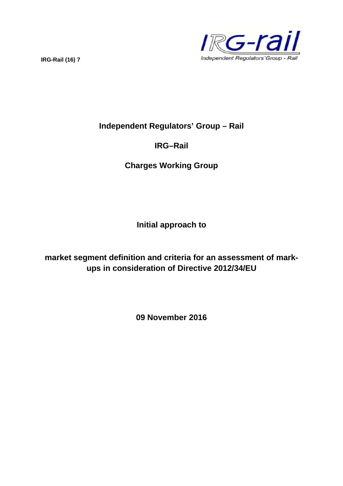

# **Independent Regulators' Group – Rail**

# **IRG–Rail**

# **Charges Working Group**

**Initial approach to**

**market segment definition and criteria for an assessment of markups in consideration of Directive 2012/34/EU**

**09 November 2016**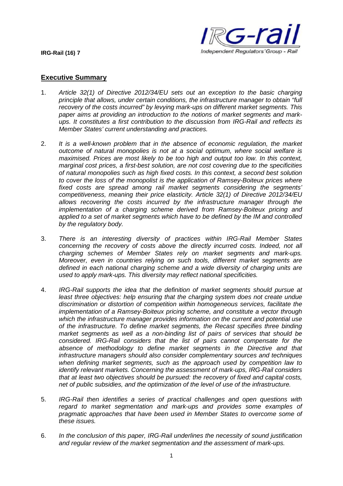

# **Executive Summary**

- 1. *Article 32(1) of Directive 2012/34/EU sets out an exception to the basic charging principle that allows, under certain conditions, the infrastructure manager to obtain "full recovery of the costs incurred" by levying mark-ups on different market segments. This paper aims at providing an introduction to the notions of market segments and markups. It constitutes a first contribution to the discussion from IRG-Rail and reflects its Member States' current understanding and practices.*
- 2. *It is a well-known problem that in the absence of economic regulation, the market outcome of natural monopolies is not at a social optimum, where social welfare is maximised. Prices are most likely to be too high and output too low. In this context, marginal cost prices, a first-best solution, are not cost covering due to the specificities of natural monopolies such as high fixed costs. In this context, a second best solution to cover the loss of the monopolist is the application of Ramsey-Boiteux prices where fixed costs are spread among rail market segments considering the segments' competitiveness, meaning their price elasticity. Article 32(1) of Directive 2012/34/EU allows recovering the costs incurred by the infrastructure manager through the implementation of a charging scheme derived from Ramsey-Boiteux pricing and applied to a set of market segments which have to be defined by the IM and controlled by the regulatory body.*
- 3. *There is an interesting diversity of practices within IRG-Rail Member States concerning the recovery of costs above the directly incurred costs. Indeed, not all charging schemes of Member States rely on market segments and mark-ups. Moreover, even in countries relying on such tools, different market segments are defined in each national charging scheme and a wide diversity of charging units are used to apply mark-ups. This diversity may reflect national specificities.*
- 4. *IRG-Rail supports the idea that the definition of market segments should pursue at least three objectives: help ensuring that the charging system does not create undue discrimination or distortion of competition within homogeneous services, facilitate the implementation of a Ramsey-Boiteux pricing scheme, and constitute a vector through which the infrastructure manager provides information on the current and potential use of the infrastructure. To define market segments, the Recast specifies three binding market segments as well as a non-binding list of pairs of services that should be considered. IRG-Rail considers that the list of pairs cannot compensate for the absence of methodology to define market segments in the Directive and that infrastructure managers should also consider complementary sources and techniques when defining market segments, such as the approach used by competition law to identify relevant markets. Concerning the assessment of mark-ups, IRG-Rail considers that at least two objectives should be pursued: the recovery of fixed and capital costs, net of public subsidies, and the optimization of the level of use of the infrastructure.*
- 5. *IRG-Rail then identifies a series of practical challenges and open questions with regard to market segmentation and mark-ups and provides some examples of pragmatic approaches that have been used in Member States to overcome some of these issues.*
- 6. *In the conclusion of this paper, IRG-Rail underlines the necessity of sound justification and regular review of the market segmentation and the assessment of mark-ups.*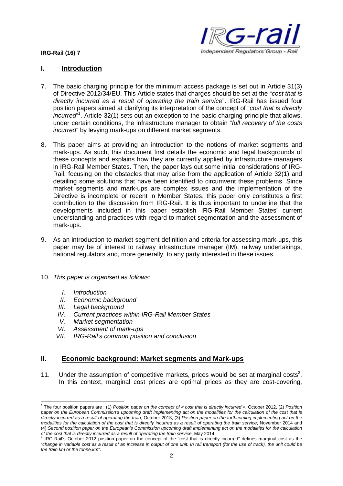

# **I. Introduction**

- 7. The basic charging principle for the minimum access package is set out in Article 31(3) of Directive 2012/34/EU. This Article states that charges should be set at the "*cost that is directly incurred as a result of operating the train service*". IRG-Rail has issued four position papers aimed at clarifying its interpretation of the concept of "*cost that is directly incurred*" 1 . Article 32(1) sets out an exception to the basic charging principle that allows, under certain conditions, the infrastructure manager to obtain "*full recovery of the costs incurred*" by levying mark-ups on different market seaments.
- 8. This paper aims at providing an introduction to the notions of market segments and mark-ups. As such, this document first details the economic and legal backgrounds of these concepts and explains how they are currently applied by infrastructure managers in IRG-Rail Member States. Then, the paper lays out some initial considerations of IRG-Rail, focusing on the obstacles that may arise from the application of Article 32(1) and detailing some solutions that have been identified to circumvent these problems. Since market segments and mark-ups are complex issues and the implementation of the Directive is incomplete or recent in Member States, this paper only constitutes a first contribution to the discussion from IRG-Rail. It is thus important to underline that the developments included in this paper establish IRG-Rail Member States' current understanding and practices with regard to market segmentation and the assessment of mark-ups.
- 9. As an introduction to market segment definition and criteria for assessing mark-ups, this paper may be of interest to railway infrastructure manager (IM), railway undertakings, national regulators and, more generally, to any party interested in these issues.
- 10. *This paper is organised as follows:*
	- *I. Introduction*
	- *II. Economic background*
	- *III. Legal background*
	- *IV. Current practices within IRG-Rail Member States*
	- *V. Market segmentation*
	- *VI. Assessment of mark-ups*
	- *VII. IRG-Rail's common position and conclusion*

# **II. Economic background: Market segments and Mark-ups**

11. Under the assumption of competitive markets, prices would be set at marginal costs<sup>2</sup>. In this context, marginal cost prices are optimal prices as they are cost-covering,

<sup>1</sup> The four position papers are : (1) *Position paper on the concept of « cost that is directly incurred »*, October 2012, (2) *Position paper on the European Commission's upcoming draft implementing act on the modalities for the calculation of the cost that is directly incurred as a result of operating the train*, October 2013, (3) *Position paper on the forthcoming implementing act on the modalities for the calculation of the cost that is directly incurred as a result of operating the train service*, November 2014 and (4) *Second position paper on the European's Commission upcoming draft implementing act on the modalities for the calculation*

*of the cost that is directly incurred as a result of operating the train service, May 2014.*<br><sup>2</sup> IRG-Rail's October 2012 position paper on the concept of the "cost that is directly incurred" defines marginal cost as the "*change in variable cost as a result of an increase in output of one unit. In rail transport (for the use of track), the unit could be the train.km or the tonne.km*".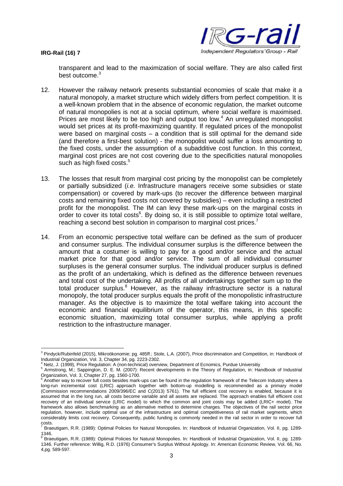

transparent and lead to the maximization of social welfare. They are also called first best outcome.<sup>3</sup>

- 12. However the railway network presents substantial economies of scale that make it a natural monopoly, a market structure which widely differs from perfect competition. It is a well-known problem that in the absence of economic regulation, the market outcome of natural monopolies is not at a social optimum, where social welfare is maximised. Prices are most likely to be too high and output too low.<sup>4</sup> An unregulated monopolist would set prices at its profit-maximizing quantity. If regulated prices of the monopolist were based on marginal costs  $-$  a condition that is still optimal for the demand side (and therefore a first-best solution) - the monopolist would suffer a loss amounting to the fixed costs, under the assumption of a subadditive cost function. In this context, marginal cost prices are not cost covering due to the specificities natural monopolies such as high fixed costs.<sup>5</sup>
- 13. The losses that result from marginal cost pricing by the monopolist can be completely or partially subsidized (*i.e.* Infrastructure managers receive some subsidies or state compensation) or covered by mark-ups (to recover the difference between marginal costs and remaining fixed costs not covered by subsidies) – even including a restricted profit for the monopolist. The IM can levy these mark-ups on the marginal costs in order to cover its total costs<sup>6</sup>. By doing so, it is still possible to optimize total welfare, reaching a second best solution in comparison to marginal cost prices.<sup>7</sup>
- 14. From an economic perspective total welfare can be defined as the sum of producer and consumer surplus. The individual consumer surplus is the difference between the amount that a costumer is willing to pay for a good and/or service and the actual market price for that good and/or service. The sum of all individual consumer surpluses is the general consumer surplus. The individual producer surplus is defined as the profit of an undertaking, which is defined as the difference between revenues and total cost of the undertaking. All profits of all undertakings together sum up to the total producer surplus.<sup>8</sup> However, as the railway infrastructure sector is a natural monopoly, the total producer surplus equals the profit of the monopolistic infrastructure manager. As the objective is to maximize the total welfare taking into account the economic and financial equilibrium of the operator, this means, in this specific economic situation, maximizing total consumer surplus, while applying a profit restriction to the infrastructure manager.

<sup>&</sup>lt;sup>3</sup> Pindyck/Rubinfeld (2015), Mikroökonomie; pg. 485ff.; Stole, L.A. (2007), Price discrimination and Competition, in: Handbook of Industrial Organization, Vol. 3, Chapter 34, pg. 2223-2302.

<sup>4</sup> Netz, J. (1999), Price Regulation: A (non-technical) overview, Department of Ecnomics, Purdue Universitiy

<sup>5</sup> Armstrong, M.; Sappington, D. E. M. (2007): Recent developments in the Theory of Regulation, in: Handbook of Industrial

Organization, Vol. 3, Chapter 27, pg. 1560-1700.<br><sup>6</sup> Another way to recover full costs besides mark-ups can be found in the regulation framework of the Telecom Industry where a long-run incremental cost (LRIC) approach together with bottom-up modelling is recommended as a primary model (Commission recommendations 2009/396/EC and C(2013) 5761). The full efficient cost recovery is enabled, because it is assumed that in the long run, all costs become variable and all assets are replaced. The approach enables full efficient cost recovery of an individual service (LRIC model) to which the common and joint costs may be added (LRIC+ model). The framework also allows benchmarking as an alternative method to determine charges. The objectives of the rail sector price regulation, however, include optimal use of the infrastructure and optimal competitiveness of rail market segments, which considerably limits cost recovery. Consequently, public funding is commonly needed in the rail sector in order to recover full  $\frac{1}{7}$  costs.

<sup>7</sup> Braeutigam, R.R. (1989): Optimal Policies for Natural Monopolies. In: Handbook of Industrial Organization, Vol. II, pg. 1289-

<sup>1346.&</sup>lt;br><sup>8</sup> Braeutigam, R.R. (1989): Optimal Policies for Natural Monopolies. In: Handbook of Industrial Organization, Vol. II, pg. 1289-1346. Further reference: Willig, R.D. (1976) Consumer's Surplus Without Apology. In: American Economic Review, Vol. 66, No. 4,pg. 589-597.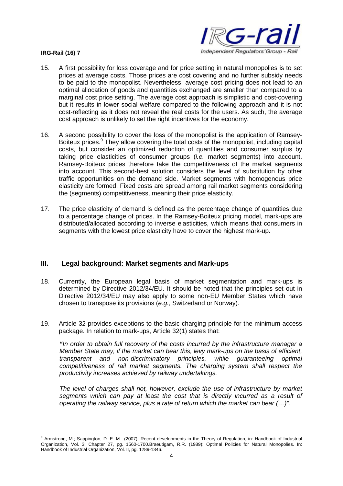

- 15. A first possibility for loss coverage and for price setting in natural monopolies is to set prices at average costs. Those prices are cost covering and no further subsidy needs to be paid to the monopolist. Nevertheless, average cost pricing does not lead to an optimal allocation of goods and quantities exchanged are smaller than compared to a marginal cost price setting. The average cost approach is simplistic and cost-covering but it results in lower social welfare compared to the following approach and it is not cost-reflecting as it does not reveal the real costs for the users. As such, the average cost approach is unlikely to set the right incentives for the economy.
- 16. A second possibility to cover the loss of the monopolist is the application of Ramsey-Boiteux prices.<sup>9</sup> They allow covering the total costs of the monopolist, including capital costs, but consider an optimized reduction of quantities and consumer surplus by taking price elasticities of consumer groups (*i.e.* market segments) into account. Ramsey-Boiteux prices therefore take the competitiveness of the market segments into account. This second-best solution considers the level of substitution by other traffic opportunities on the demand side. Market segments with homogenous price elasticity are formed. Fixed costs are spread among rail market segments considering the (segments) competitiveness, meaning their price elasticity.
- 17. The price elasticity of demand is defined as the percentage change of quantities due to a percentage change of prices. In the Ramsey-Boiteux pricing model, mark-ups are distributed/allocated according to inverse elasticities, which means that consumers in segments with the lowest price elasticity have to cover the highest mark-up.

# **III. Legal background: Market segments and Mark-ups**

- 18. Currently, the European legal basis of market segmentation and mark-ups is determined by Directive 2012/34/EU. It should be noted that the principles set out in Directive 2012/34/EU may also apply to some non-EU Member States which have chosen to transpose its provisions (*e.g.*, Switzerland or Norway).
- 19. Article 32 provides exceptions to the basic charging principle for the minimum access package. In relation to mark-ups, Article 32(1) states that:

*"In order to obtain full recovery of the costs incurred by the infrastructure manager a Member State may, if the market can bear this, levy mark-ups on the basis of efficient, transparent and non-discriminatory principles, while guaranteeing optimal competitiveness of rail market segments. The charging system shall respect the productivity increases achieved by railway undertakings.*

*The level of charges shall not, however, exclude the use of infrastructure by market segments which can pay at least the cost that is directly incurred as a result of operating the railway service, plus a rate of return which the market can bear (…)".*

<sup>9</sup> Armstrong, M.; Sappington, D. E. M.. (2007): Recent developments in the Theory of Regulation, in: Handbook of Industrial Organization, Vol. 3, Chapter 27, pg. 1560-1700.Braeutigam, R.R. (1989): Optimal Policies for Natural Monopolies. In: Handbook of Industrial Organization, Vol. II, pg. 1289-1346.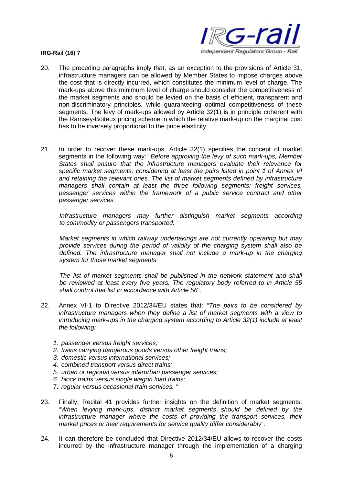

- 20. The preceding paragraphs imply that, as an exception to the provisions of Article 31, infrastructure managers can be allowed by Member States to impose charges above the cost that is directly incurred, which constitutes the minimum level of charge. The mark-ups above this minimum level of charge should consider the competitiveness of the market segments and should be levied on the basis of efficient, transparent and non-discriminatory principles, while guaranteeing optimal competitiveness of these segments. The levy of mark-ups allowed by Article 32(1) is in principle coherent with the Ramsey-Boiteux pricing scheme in which the relative mark-up on the marginal cost has to be inversely proportional to the price elasticity.
- 21. In order to recover these mark-ups, Article 32(1) specifies the concept of market segments in the following way: "*Before approving the levy of such mark-ups, Member States shall ensure that the infrastructure managers evaluate their relevance for specific market segments, considering at least the pairs listed in point 1 of Annex VI and retaining the relevant ones. The list of market segments defined by infrastructure managers shall contain at least the three following segments: freight services, passenger services within the framework of a public service contract and other passenger services.*

*Infrastructure managers may further distinguish market segments according to commodity or passengers transported.*

*Market segments in which railway undertakings are not currently operating but may provide services during the period of validity of the charging system shall also be defined. The infrastructure manager shall not include a mark-up in the charging system for those market segments.*

*The list of market segments shall be published in the network statement and shall be reviewed at least every five years. The regulatory body referred to in Article 55 shall control that list in accordance with Article 56*".

- 22. Annex VI-1 to Directive 2012/34/EU states that: "*The pairs to be considered by infrastructure managers when they define a list of market segments with a view to introducing mark-ups in the charging system according to Article 32(1) include at least the following:*
	- *1. passenger versus freight services;*
	- *2. trains carrying dangerous goods versus other freight trains;*
	- *3. domestic versus international services;*
	- *4. combined transport versus direct trains;*
	- *5. urban or regional versus interurban passenger services;*
	- *6. block trains versus single wagon load trains;*
	- 7. *regular versus occasional train services.* "
- 23. Finally, Recital 41 provides further insights on the definition of market segments: "*When levying mark-ups, distinct market segments should be defined by the infrastructure manager where the costs of providing the transport services, their market prices or their requirements for service quality differ considerably*".
- 24. It can therefore be concluded that Directive 2012/34/EU allows to recover the costs incurred by the infrastructure manager through the implementation of a charging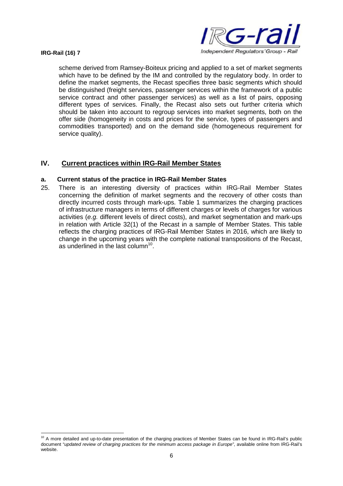

scheme derived from Ramsey-Boiteux pricing and applied to a set of market segments which have to be defined by the IM and controlled by the regulatory body. In order to define the market segments, the Recast specifies three basic segments which should be distinguished (freight services, passenger services within the framework of a public service contract and other passenger services) as well as a list of pairs, opposing different types of services. Finally, the Recast also sets out further criteria which should be taken into account to regroup services into market segments, both on the offer side (homogeneity in costs and prices for the service, types of passengers and commodities transported) and on the demand side (homogeneous requirement for service quality).

# **IV. Current practices within IRG-Rail Member States**

# **a. Current status of the practice in IRG-Rail Member States**

25. There is an interesting diversity of practices within IRG-Rail Member States concerning the definition of market segments and the recovery of other costs than directly incurred costs through mark-ups. Table 1 summarizes the charging practices of infrastructure managers in terms of different charges or levels of charges for various activities (*e.g.* different levels of direct costs), and market segmentation and mark-ups in relation with Article 32(1) of the Recast in a sample of Member States. This table reflects the charging practices of IRG-Rail Member States in 2016, which are likely to change in the upcoming years with the complete national transpositions of the Recast, as underlined in the last column<sup>10</sup>.

<sup>&</sup>lt;sup>10</sup> A more detailed and up-to-date presentation of the charging practices of Member States can be found in IRG-Rail's public document "*updated review of charging practices for the minimum access package in Europe"*, available online from IRG-Rail's website.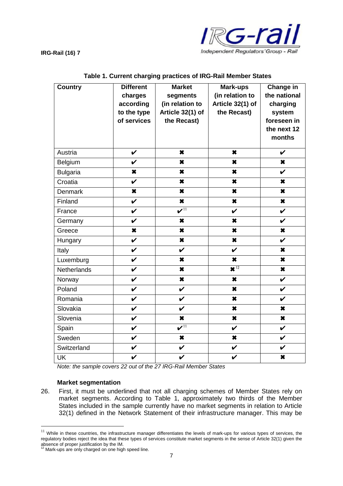

| <b>Country</b>     | <b>Different</b>    | <b>Market</b>                       | Mark-ups                     | Change in           |
|--------------------|---------------------|-------------------------------------|------------------------------|---------------------|
|                    | charges             | segments                            | (in relation to              | the national        |
|                    | according           | (in relation to                     | Article 32(1) of             | charging            |
|                    | to the type         | Article 32(1) of                    | the Recast)                  | system              |
|                    | of services         | the Recast)                         |                              | foreseen in         |
|                    |                     |                                     |                              | the next 12         |
|                    |                     |                                     |                              | months              |
| Austria            | $\boldsymbol{\nu}$  | $\star$                             | $\boldsymbol{\ast}$          | $\boldsymbol{\nu}$  |
| Belgium            | $\checkmark$        | $\pmb{\times}$                      | ×                            | $\pmb{\times}$      |
| <b>Bulgaria</b>    | $\boldsymbol{\ast}$ | ×                                   | $\boldsymbol{\ast}$          | $\mathbf v$         |
| Croatia            | $\checkmark$        | ×                                   | $\boldsymbol{\ast}$          | $\boldsymbol{\ast}$ |
| <b>Denmark</b>     | $\boldsymbol{\ast}$ | ×                                   | ×                            | ×                   |
| Finland            | $\checkmark$        | ×                                   | $\boldsymbol{\ast}$          | $\boldsymbol{\ast}$ |
| France             | $\checkmark$        | $\overline{\mathbf{v}^{\text{11}}}$ | $\checkmark$                 | $\checkmark$        |
| Germany            | $\boldsymbol{\nu}$  | ×                                   | $\star$                      | $\boldsymbol{\nu}$  |
| Greece             | $\boldsymbol{\ast}$ | ×                                   | $\boldsymbol{\ast}$          | $\boldsymbol{\ast}$ |
| Hungary            | $\checkmark$        | ×                                   | $\pmb{\times}$               | $\checkmark$        |
| Italy              | $\boldsymbol{\nu}$  | V                                   | $\boldsymbol{\nu}$           | $\boldsymbol{\ast}$ |
| Luxemburg          | $\checkmark$        | ×                                   | $\pmb{\times}$               | $\pmb{\times}$      |
| <b>Netherlands</b> | $\checkmark$        | $\star$                             | $\overline{\mathbf{X}^{12}}$ | $\star$             |
| Norway             | $\checkmark$        | $\star$                             | $\star$                      | $\boldsymbol{\nu}$  |
| Poland             | $\checkmark$        | V                                   | ×                            | $\boldsymbol{\nu}$  |
| Romania            | $\boldsymbol{\nu}$  | V                                   | $\boldsymbol{\ast}$          | $\boldsymbol{\nu}$  |
| Slovakia           | $\checkmark$        | V                                   | ×                            | $\pmb{\times}$      |
| Slovenia           | $\boldsymbol{\nu}$  | $\star$                             | $\star$                      | $\star$             |
| Spain              | $\checkmark$        | $\overline{\mathbf{v}^{\text{11}}}$ | $\checkmark$                 | $\checkmark$        |
| Sweden             | $\checkmark$        | $\boldsymbol{\ast}$                 | $\boldsymbol{\ast}$          | $\boldsymbol{\nu}$  |
| Switzerland        | $\checkmark$        | V                                   | $\checkmark$                 | $\boldsymbol{\nu}$  |
| <b>UK</b>          | $\checkmark$        | V                                   | V                            | ×                   |

### **Table 1. Current charging practices of IRG-Rail Member States**

*Note: the sample covers 22 out of the 27 IRG-Rail Member States*

# **Market segmentation**

26. First, it must be underlined that not all charging schemes of Member States rely on market segments. According to Table 1, approximately two thirds of the Member States included in the sample currently have no market segments in relation to Article 32(1) defined in the Network Statement of their infrastructure manager. This may be

<sup>&</sup>lt;sup>11</sup> While in these countries, the infrastructure manager differentiates the levels of mark-ups for various types of services, the regulatory bodies reject the idea that these types of services constitute market segments in the sense of Article 32(1) given the absence of proper justification by the IM.<br><sup>12</sup> Mark-ups are only charged on one high speed line.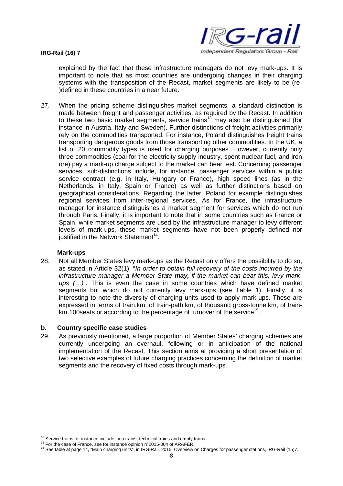

explained by the fact that these infrastructure managers do not levy mark-ups. It is important to note that as most countries are undergoing changes in their charging systems with the transposition of the Recast, market segments are likely to be (re- )defined in these countries in a near future.

27. When the pricing scheme distinguishes market segments, a standard distinction is made between freight and passenger activities, as required by the Recast. In addition to these two basic market segments, service trains<sup>13</sup> may also be distinguished (for instance in Austria, Italy and Sweden). Further distinctions of freight activities primarily rely on the commodities transported. For instance, Poland distinguishes freight trains transporting dangerous goods from those transporting other commodities. In the UK, a list of 20 commodity types is used for charging purposes. However, currently only three commodities (coal for the electricity supply industry, spent nuclear fuel, and iron ore) pay a mark-up charge subject to the market can bear test. Concerning passenger services, sub-distinctions include, for instance, passenger services within a public service contract (e.g. in Italy, Hungary or France), high speed lines (as in the Netherlands, in Italy, Spain or France) as well as further distinctions based on geographical considerations. Regarding the latter, Poland for example distinguishes regional services from inter-regional services. As for France, the infrastructure manager for instance distinguishes a market segment for services which do not run through Paris. Finally, it is important to note that in some countries such as France or Spain, while market segments are used by the infrastructure manager to levy different levels of mark-ups, these market segments have not been properly defined nor justified in the Network Statement<sup>14</sup>.

# **Mark-ups**

28. Not all Member States levy mark-ups as the Recast only offers the possibility to do so, as stated in Article 32(1): "*In order to obtain full recovery of the costs incurred by the infrastructure manager a Member State may, if the market can bear this, levy markups (…)*". This is even the case in some countries which have defined market segments but which do not currently levy mark-ups (see Table 1). Finally, it is interesting to note the diversity of charging units used to apply mark-ups. These are expressed in terms of train.km, of train-path.km, of thousand gross-tonne.km, of trainkm.100 seats or according to the percentage of turnover of the service<sup>15</sup>.

# **b. Country specific case studies**

29. As previously mentioned, a large proportion of Member States' charging schemes are currently undergoing an overhaul, following or in anticipation of the national implementation of the Recast. This section aims at providing a short presentation of two selective examples of future charging practices concerning the definition of market segments and the recovery of fixed costs through mark-ups.

 $13$  Service trains for instance include loco trains, technical trains and empty trains.

<sup>&</sup>lt;sup>14</sup> For the case of France, see for instance opinion n°2015-004 of ARAFER.

<sup>15</sup> See table at page 14, "Main charging units", in IRG-Rail, 2015, Overview on Charges for passenger stations, IRG-Rail (15)7.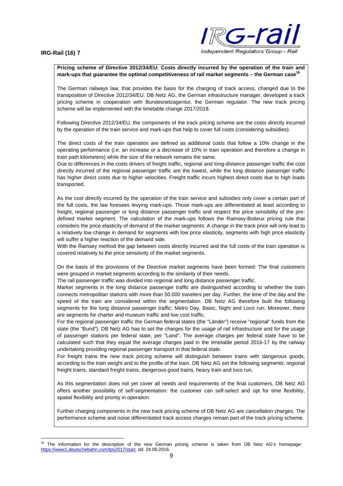

### **Pricing scheme of Directive 2012/34/EU: Costs directly incurred by the operation of the train and mark-ups that guarantee the optimal competitiveness of rail market segments – the German case<sup>16</sup>**

The German railways law, that provides the basis for the charging of track access, changed due to the transposition of Directive 2012/34/EU. DB Netz AG, the German infrastructure manager, developed a track pricing scheme in cooperation with Bundesnetzagentur, the German regulator. The new track pricing scheme will be implemented with the timetable change 2017/2018.

Following Directive 2012/34/EU, the components of the track pricing scheme are the costs directly incurred by the operation of the train service and mark-ups that help to cover full costs (considering subsidies).

The direct costs of the train operation are defined as additional costs that follow a 10% change in the operating performance (*i.e.* an increase or a decrease of 10% in train operation and therefore a change in train path kilometers) while the size of the network remains the same.

Due to differences in the costs drivers of freight traffic, regional and long-distance passenger traffic the cost directly incurred of the regional passenger traffic are the lowest, while the long distance passenger traffic has higher direct costs due to higher velocities. Freight traffic incurs highest direct costs due to high loads transported.

As the cost directly incurred by the operation of the train service and subsidies only cover a certain part of the full costs, the law foresees levying mark-ups. Those mark-ups are differentiated at least according to freight, regional passenger or long distance passenger traffic and respect the price sensibility of the predefined market segment. The calculation of the mark-ups follows the Ramsey-Boiteux pricing rule that considers the price elasticity of demand of the market segments: A change in the track price will only lead to a relatively low change in demand for segments with low price elasticity, segments with high price elasticity will suffer a higher reaction of the demand side.

With the Ramsey method the gap between costs directly incurred and the full costs of the train operation is covered relatively to the price sensitivity of the market segments.

On the basis of the provisions of the Directive market segments have been formed: The final customers were grouped in market segments according to the similarity of their needs.

The rail passenger traffic was divided into regional and long distance passenger traffic.

Market segments in the long distance passenger traffic are distinguished according to whether the train connects metropolitan stations with more than 50.000 travelers per day. Further, the time of the day and the speed of the train are considered within the segmentation. DB Netz AG therefore built the following segments for the long distance passenger traffic: Metro Day, Basic, Night and Loco run. Moreover, there are segments for charter and museum traffic and low cost traffic.

For the regional passenger traffic the German federal states (the "Länder") receive "regional" funds from the state (the "Bund"). DB Netz AG has to set the charges for the usage of rail infrastructure and for the usage of passenger stations per federal state, per "Land". The average charges per federal state have to be calculated such that they equal the average charges paid in the timetable period 2016-17 by the railway undertaking providing regional passenger transport in that federal state.

For freight trains the new track pricing scheme will distinguish between trains with dangerous goods, according to the train weight and to the profile of the train. DB Netz AG set the following segments: regional freight trains, standard freight trains, dangerous good trains, heavy train and loco run.

As this segmentation does not yet cover all needs and requirements of the final customers, DB Netz AG offers another possibility of self-segmentation: the customer can self-select and opt for time flexibility, spatial flexibility and priority in operation.

Further charging components in the new track pricing scheme of DB Netz AG are cancellation charges. The performance scheme and noise differentiated track access charges remain part of the track pricing scheme.

<sup>16</sup> The information for the description of the new German pricing scheme is taken from DB Netz AG's homepage: https://www1.deutschebahn.com/tps2017/start, dd. 24.06.2016.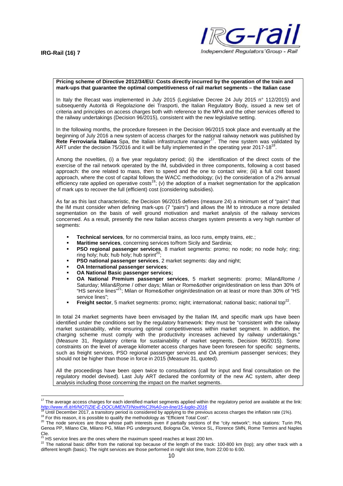

#### **Pricing scheme of Directive 2012/34/EU: Costs directly incurred by the operation of the train and mark-ups that guarantee the optimal competitiveness of rail market segments – the Italian case**

In Italy the Recast was implemented in July 2015 (Legislative Decree 24 July 2015 n° 112/2015) and subsequently Autorità di Regolazione dei Trasporti, the Italian Regulatory Body, issued a new set of criteria and principles on access charges both with reference to the MPA and the other services offered to the railway undertakings (Decision 96/2015), consistent with the new legislative setting.

In the following months, the procedure foreseen in the Decision 96/2015 took place and eventually at the beginning of July 2016 a new system of access charges for the national railway network was published by **Rete Ferroviaria Italiana** Spa, the Italian infrastructure manager<sup>17</sup>. The new system was validated by ART under the decision 75/2016 and it will be fully implemented in the operating year 2017-18<sup>18</sup>.

Among the novelties, (i) a five year regulatory period; (ii) the identification of the direct costs of the exercise of the rail network operated by the IM, subdivided in three components, following a cost based approach: the one related to mass, then to speed and the one to contact wire; (iii) a full cost based approach, where the cost of capital follows the WACC methodology; (iv) the consideration of a 2% annual efficiency rate applied on operative costs<sup>19</sup>; (v) the adoption of a market segmentation for the application efficiency of mark ups to recover the full (efficient) cost (considering subsidies).

As far as this last characteristic, the Decision 96/2015 defines (measure 24) a minimum set of "pairs" that the IM must consider when defining mark-ups (7 "pairs") and allows the IM to introduce a more detailed segmentation on the basis of well ground motivation and market analysis of the railway services concerned. As a result, presently the new Italian access charges system presents a very high number of segments:

- **Technical services**, for no commercial trains, as loco runs, empty trains, *etc*.;
- **Maritime services**, concerning services to/from Sicily and Sardinia;
- **PSO regional passenger services**, 8 market segments: promo; no node; no node holy; ring; ring holy; hub; hub holy; hub sprint<sup>20</sup>;
- **PSO national passenger services**, 2 market segments: day and night;
- **OA International passenger services**;
- **OA National Basic passenger services;**
- **OA National Premium passenger services**, 5 market segments: promo; Milan&Rome / Saturday; Milan&Rome / other days; Milan or Rome&other origin/destination on less than 30% of "HS service lines"<sup>21</sup>; Milan or Rome&other origin/destination on at least or more than 30% of "HS service lines";
- **Freight sector**, 5 market segments: promo; night; international; national basic; national top<sup>22</sup>.

In total 24 market segments have been envisaged by the Italian IM, and specific mark ups have been identified under the conditions set by the regulatory framework: they must be "consistent with the railway market sustainability, while ensuring optimal competitiveness within market segment. In addition, the charging scheme must comply with the productivity increases achieved by railway undertakings." (Measure 31, Regulatory criteria for sustainability of market segments, Decision 96/2015). Some constraints on the level of average kilometer access charges have been foreseen for specific segments, such as freight services, PSO regional passenger services and OA premium passenger services; they should not be higher than those in force in 2015 (Measure 31, quoted).

All the proceedings have been open twice to consultations (call for input and final consultation on the regulatory model devised). Last July ART declared the conformity of the new AC system, after deep analysis including those concerning the impact on the market segments.

<sup>19</sup> For this reason, it is possible to qualify the methodology as "Efficient Total Cost".

<sup>&</sup>lt;sup>17</sup> The average access charges for each identified market segments applied within the regulatory period are available at the link: *http://www.rfi.it/rfi/NOTIZIE-E-DOCUMENTI/Novit%C3%A0-on-line/15-luglio-2016*

Until December 2017, a transitory period is considered by applying to the previous access charges the inflation rate (1%).

<sup>&</sup>lt;sup>20</sup> The node services are those whose path interests even if partially sections of the "city network"; Hub stations: Turin PN, Genoa PP, Milano Cle, Milano PG, Milan PG underground, Bologna Cle, Venice SL, Florence SMN, Rome Termini and Naples Cle.<br><sup>21</sup> HS service lines are the ones where the maximum speed reaches at least 200 km.

<sup>&</sup>lt;sup>22</sup> The national basic differ from the national top because of the length of the track: 100-800 km (top); any other track with a different length (basic). The night services are those performed in night slot time, from 22:00 to 6:00.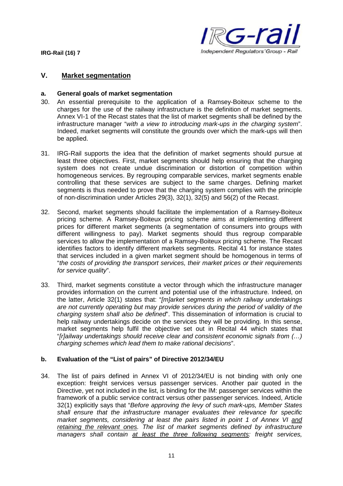

# **V. Market segmentation**

### **a. General goals of market segmentation**

- 30. An essential prerequisite to the application of a Ramsey-Boiteux scheme to the charges for the use of the railway infrastructure is the definition of market segments. Annex VI-1 of the Recast states that the list of market segments shall be defined by the infrastructure manager "*with a view to introducing mark-ups in the charging system*". Indeed, market segments will constitute the grounds over which the mark-ups will then be applied.
- 31. IRG-Rail supports the idea that the definition of market segments should pursue at least three objectives. First, market segments should help ensuring that the charging system does not create undue discrimination or distortion of competition within homogeneous services. By regrouping comparable services, market segments enable controlling that these services are subject to the same charges. Defining market segments is thus needed to prove that the charging system complies with the principle of non-discrimination under Articles 29(3), 32(1), 32(5) and 56(2) of the Recast.
- 32. Second, market segments should facilitate the implementation of a Ramsey-Boiteux pricing scheme. A Ramsey-Boiteux pricing scheme aims at implementing different prices for different market segments (a segmentation of consumers into groups with different willingness to pay). Market segments should thus regroup comparable services to allow the implementation of a Ramsey-Boiteux pricing scheme. The Recast identifies factors to identify different markets segments. Recital 41 for instance states that services included in a given market segment should be homogenous in terms of "*the costs of providing the transport services, their market prices or their requirements for service quality*".
- 33. Third, market segments constitute a vector through which the infrastructure manager provides information on the current and potential use of the infrastructure. Indeed, on the latter, Article 32(1) states that: "*[m]arket segments in which railway undertakings are not currently operating but may provide services during the period of validity of the charging system shall also be defined*". This dissemination of information is crucial to help railway undertakings decide on the services they will be providing. In this sense, market segments help fulfil the objective set out in Recital 44 which states that "*[r]ailway undertakings should receive clear and consistent economic signals from (…) charging schemes which lead them to make rational decisions*".

# **b. Evaluation of the "List of pairs" of Directive 2012/34/EU**

34. The list of pairs defined in Annex VI of 2012/34/EU is not binding with only one exception: freight services versus passenger services. Another pair quoted in the Directive, yet not included in the list, is binding for the IM: passenger services within the framework of a public service contract versus other passenger services. Indeed, Article 32(1) explicitly says that "*Before approving the levy of such mark-ups, Member States shall ensure that the infrastructure manager evaluates their relevance for specific market segments, considering at least the pairs listed in point 1 of Annex VI and retaining the relevant ones. The list of market segments defined by infrastructure managers shall contain at least the three following segments: freight services,*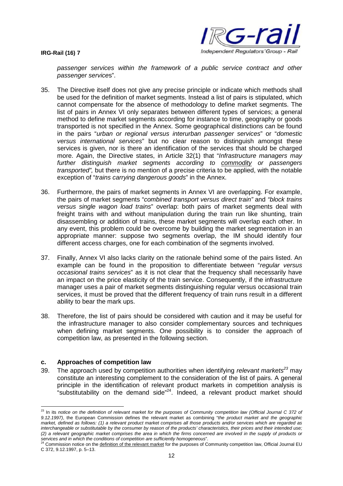

*passenger services within the framework of a public service contract and other passenger service*s".

- 35. The Directive itself does not give any precise principle or indicate which methods shall be used for the definition of market segments. Instead a list of pairs is stipulated, which cannot compensate for the absence of methodology to define market segments. The list of pairs in Annex VI only separates between different types of services; a general method to define market segments according for instance to time, geography or goods transported is not specified in the Annex. Some geographical distinctions can be found in the pairs "*urban or regional versus interurban passenger services*" or "*domestic versus international services*" but no clear reason to distinguish amongst these services is given, nor is there an identification of the services that should be charged more. Again, the Directive states, in Article 32(1) that "*Infrastructure managers may further distinguish market segments according to commodity or passengers transported",* but there is no mention of a precise criteria to be applied, with the notable exception of "*trains carrying dangerous goods*" in the Annex.
- 36. Furthermore, the pairs of market segments in Annex VI are overlapping. For example, the pairs of market segments "*combined transport versus direct train"* and *"block trains versus single wagon load trains*" overlap: both pairs of market segments deal with freight trains with and without manipulation during the train run like shunting, train disassembling or addition of trains, these market segments will overlap each other. In any event, this problem could be overcome by building the market segmentation in an appropriate manner: suppose two segments overlap, the IM should identify four different access charges, one for each combination of the segments involved.
- 37. Finally, Annex VI also lacks clarity on the rationale behind some of the pairs listed. An example can be found in the proposition to differentiate between "*regular versus occasional trains services*" as it is not clear that the frequency shall necessarily have an impact on the price elasticity of the train service. Consequently, if the infrastructure manager uses a pair of market segments distinguishing regular versus occasional train services, it must be proved that the different frequency of train runs result in a different ability to bear the mark ups.
- 38. Therefore, the list of pairs should be considered with caution and it may be useful for the infrastructure manager to also consider complementary sources and techniques when defining market segments. One possibility is to consider the approach of competition law, as presented in the following section.

# **c. Approaches of competition law**

39. The approach used by competition authorities when identifying *relevant markets<sup>23</sup>* may constitute an interesting complement to the consideration of the list of pairs. A general principle in the identification of relevant product markets in competition analysis is "substitutability on the demand side"<sup>24</sup>. Indeed, a relevant product market should

<sup>23</sup> In its *notice on the definition of relevant market for the purposes of Community competition law (Official Journal C 372 of 9.12.1997)*, the European Commission defines the relevant market as combining "*the product market and the geographic market, defined as follows: (1) a relevant product market comprises all those products and/or services which are regarded as interchangeable or substitutable by the consumer by reason of the products' characteristics, their prices and their intended use; (2) a relevant geographic market comprises the area in which the firms concerned are involved in the supply of products or*

s*ervices and in which the conditions of competition are sufficiently homogeneous*".<br><sup>24</sup> Commission notice on the <u>definition of the relevant market</u> for the purposes of Community competition law, Official Journal EU C 372, 9.12.1997, p. 5–13.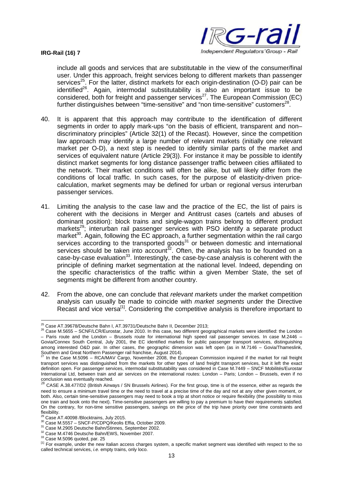

include all goods and services that are substitutable in the view of the consumer/final user. Under this approach, freight services belong to different markets than passenger services<sup>25</sup>. For the latter, distinct markets for each origin-destination (O-D) pair can be identified<sup>26</sup>. Again, intermodal substitutability is also an important issue to be considered, both for freight and passenger services<sup> $27$ </sup>. The European Commission (EC) further distinguishes between "time-sensitive" and "non time-sensitive" customers $^{28}$ .

- 40. It is apparent that this approach may contribute to the identification of different segments in order to apply mark-ups "on the basis of efficient, transparent and non– discriminatory principles" (Article 32(1) of the Recast). However, since the competition law approach may identify a large number of relevant markets (initially one relevant market per O-D), a next step is needed to identify similar parts of the market and services of equivalent nature (Article 29(3)). For instance it may be possible to identify distinct market segments for long distance passenger traffic between cities affiliated to the network. Their market conditions will often be alike, but will likely differ from the conditions of local traffic. In such cases, for the purpose of elasticity-driven pricecalculation, market segments may be defined for urban or regional versus interurban passenger services.
- 41. Limiting the analysis to the case law and the practice of the EC, the list of pairs is coherent with the decisions in Merger and Antitrust cases (cartels and abuses of dominant position): block trains and single-wagon trains belong to different product markets<sup>29</sup>; interurban rail passenger services with PSO identify a separate product market<sup>30</sup>. Again, following the EC approach, a further segmentation within the rail cargo services according to the transported goods $31$  or between domestic and international services should be taken into account $^{32}$ . Often, the analysis has to be founded on a case-by-case evaluation<sup>33</sup>. Interestingly, the case-by-case analysis is coherent with the principle of defining market segmentation at the national level. Indeed, depending on the specific characteristics of the traffic within a given Member State, the set of segments might be different from another country.
- 42. From the above, one can conclude that *relevant markets* under the market competition analysis can usually be made to coincide with *market segments* under the Directive Recast and vice versa<sup>[1]</sup>. Considering the competitive analysis is therefore important to

 $25$  Case AT.39678/Deutsche Bahn I, AT.39731/Deutsche Bahn II, December 2013;

<sup>26</sup> Case M.5655 – SCNF/LCR/Eurostar, June 2010. In this case, two different geographical markets were identified: the London – Paris route and the London – Brussels route for international high speed rail passenger services. In case M.2446 – Govia/Connex South Central, July 2001, the EC identified markets for public passenger transport services, distinguishing among interested O&D pair. In other cases, the geographic dimension was left open (as in M.7146 – Govia/Thameslink, Southern and Great Northern Passenger rail franchise, August 2014).<br>Southern and Great Northern Passenger rail franchise, August 2014).

In the Case M.5096 – RCA/MAV Cargo, November 2008, the European Commission inquired if the market for rail freight transport services was distinguished from the markets for other types of land freight transport services, but it left the exact definition open. For passenger services, intermodal substitutability was considered in Case M.7449 – SNCF Mobilités/Eurostar International Ltd, between train and air services on the international routes: London – Paris; London – Brussels, even if no conclusion was eventually reached.<br><sup>28</sup> CASE A.38.477/D2 (British Airways / SN Brussels Airlines). For the first group, time is of the essence, either as regards the

need to ensure a minimum travel time or the need to travel at a precise time of the day and not at any other given moment, or both. Also, certain time-sensitive passengers may need to book a trip at short notice or require flexibility (the possibility to miss one train and book onto the next). Time-sensitive passengers are willing to pay a premium to have their requirements satisfied. On the contrary, for non-time sensitive passengers, savings on the price of the trip have priority over time constraints and flexibility.

Case AT.40098 /Blocktrains, July 2015.

<sup>30</sup> Case M.5557 – SNCF-P/CDPQ/Keolis Effia, October 2009.

<sup>31</sup> Case M.2905 Deutsche Bahn/Stinnes, September 2002.

<sup>32</sup> Case M.4746 Deutsche Bahn/EWS, November 2007.

<sup>33</sup> Case M.5096 quoted, par. 25

<sup>&</sup>lt;sup>[1]</sup> For example, under the new Italian access charges system, a specific market segment was identified with respect to the so called technical services, *i.e.* empty trains, only loco.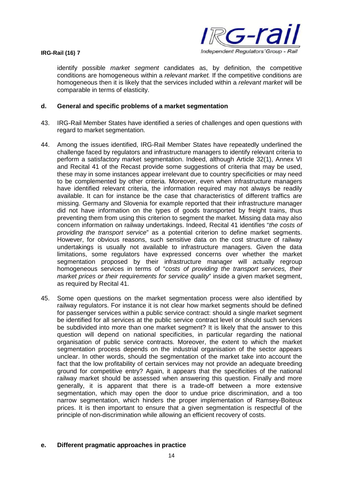

identify possible *market segment* candidates as, by definition, the competitive conditions are homogeneous within a *relevant market.* If the competitive conditions are homogeneous then it is likely that the services included within a *relevant market* will be comparable in terms of elasticity.

# **d. General and specific problems of a market segmentation**

- 43. IRG-Rail Member States have identified a series of challenges and open questions with regard to market segmentation.
- 44. Among the issues identified, IRG-Rail Member States have repeatedly underlined the challenge faced by regulators and infrastructure managers to identify relevant criteria to perform a satisfactory market segmentation. Indeed, although Article 32(1), Annex VI and Recital 41 of the Recast provide some suggestions of criteria that may be used, these may in some instances appear irrelevant due to country specificities or may need to be complemented by other criteria. Moreover, even when infrastructure managers have identified relevant criteria, the information required may not always be readily available. It can for instance be the case that characteristics of different traffics are missing. Germany and Slovenia for example reported that their infrastructure manager did not have information on the types of goods transported by freight trains, thus preventing them from using this criterion to segment the market. Missing data may also concern information on railway undertakings. Indeed, Recital 41 identifies "*the costs of providing the transport service*" as a potential criterion to define market segments. However, for obvious reasons, such sensitive data on the cost structure of railway undertakings is usually not available to infrastructure managers. Given the data limitations, some regulators have expressed concerns over whether the market segmentation proposed by their infrastructure manager will actually regroup homogeneous services in terms of "*costs of providing the transport services, their market prices or their requirements for service quality*" inside a given market segment, as required by Recital 41.
- 45. Some open questions on the market segmentation process were also identified by railway regulators. For instance it is not clear how market segments should be defined for passenger services within a public service contract: should a single market segment be identified for all services at the public service contract level or should such services be subdivided into more than one market segment? It is likely that the answer to this question will depend on national specificities, in particular regarding the national organisation of public service contracts. Moreover, the extent to which the market segmentation process depends on the industrial organisation of the sector appears unclear. In other words, should the segmentation of the market take into account the fact that the low profitability of certain services may not provide an adequate breeding ground for competitive entry? Again, it appears that the specificities of the national railway market should be assessed when answering this question. Finally and more generally, it is apparent that there is a trade-off between a more extensive segmentation, which may open the door to undue price discrimination, and a too narrow segmentation, which hinders the proper implementation of Ramsey-Boiteux prices. It is then important to ensure that a given segmentation is respectful of the principle of non-discrimination while allowing an efficient recovery of costs.

### **e. Different pragmatic approaches in practice**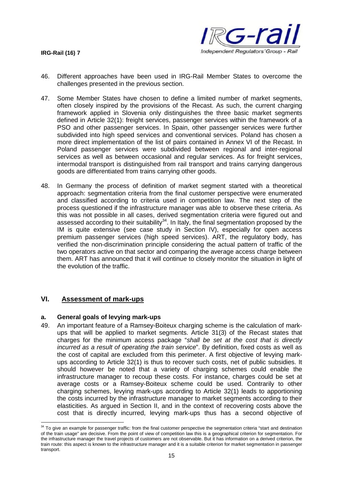

- 46. Different approaches have been used in IRG-Rail Member States to overcome the challenges presented in the previous section.
- 47. Some Member States have chosen to define a limited number of market segments, often closely inspired by the provisions of the Recast. As such, the current charging framework applied in Slovenia only distinguishes the three basic market segments defined in Article 32(1): freight services, passenger services within the framework of a PSO and other passenger services. In Spain, other passenger services were further subdivided into high speed services and conventional services. Poland has chosen a more direct implementation of the list of pairs contained in Annex VI of the Recast. In Poland passenger services were subdivided between regional and inter-regional services as well as between occasional and regular services. As for freight services, intermodal transport is distinguished from rail transport and trains carrying dangerous goods are differentiated from trains carrying other goods.
- 48. In Germany the process of definition of market segment started with a theoretical approach: segmentation criteria from the final customer perspective were enumerated and classified according to criteria used in competition law. The next step of the process questioned if the infrastructure manager was able to observe these criteria. As this was not possible in all cases, derived segmentation criteria were figured out and assessed according to their suitability<sup>34</sup>. In Italy, the final segmentation proposed by the IM is quite extensive (see case study in Section IV), especially for open access premium passenger services (high speed services). ART, the regulatory body, has verified the non-discrimination principle considering the actual pattern of traffic of the two operators active on that sector and comparing the average access charge between them. ART has announced that it will continue to closely monitor the situation in light of the evolution of the traffic.

# **VI. Assessment of mark-ups**

# **a. General goals of levying mark-ups**

49. An important feature of a Ramsey-Boiteux charging scheme is the calculation of markups that will be applied to market segments. Article 31(3) of the Recast states that charges for the minimum access package "*shall be set at the cost that is directly incurred as a result of operating the train service*". By definition, fixed costs as well as the cost of capital are excluded from this perimeter. A first objective of levying markups according to Article 32(1) is thus to recover such costs, net of public subsidies. It should however be noted that a variety of charging schemes could enable the infrastructure manager to recoup these costs. For instance, charges could be set at average costs or a Ramsey-Boiteux scheme could be used. Contrarily to other charging schemes, levying mark-ups according to Article 32(1) leads to apportioning the costs incurred by the infrastructure manager to market segments according to their elasticities. As argued in Section II, and in the context of recovering costs above the cost that is directly incurred, levying mark-ups thus has a second objective of

 $34$  To give an example for passenger traffic: from the final customer perspective the segmentation criteria "start and destination" of the train usage" are decisive. From the point of view of competition law this is a geographical criterion for segmentation. For the infrastructure manager the travel projects of customers are not observable. But it has information on a derived criterion, the train route: this aspect is known to the infrastructure manager and it is a suitable criterion for market segmentation in passenger transport.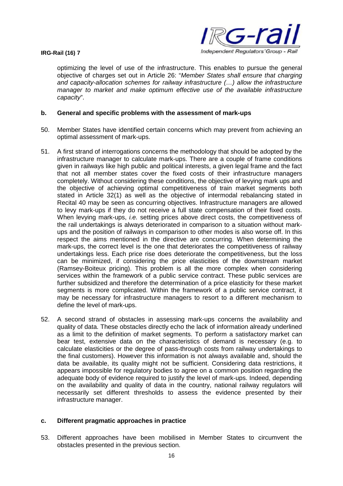

optimizing the level of use of the infrastructure. This enables to pursue the general objective of charges set out in Article 26: "*Member States shall ensure that charging and capacity-allocation schemes for railway infrastructure (…) allow the infrastructure manager to market and make optimum effective use of the available infrastructure capacity*".

### **b. General and specific problems with the assessment of mark-ups**

- 50. Member States have identified certain concerns which may prevent from achieving an optimal assessment of mark-ups.
- 51. A first strand of interrogations concerns the methodology that should be adopted by the infrastructure manager to calculate mark-ups. There are a couple of frame conditions given in railways like high public and political interests, a given legal frame and the fact that not all member states cover the fixed costs of their infrastructure managers completely. Without considering these conditions, the objective of levying mark ups and the objective of achieving optimal competitiveness of train market segments both stated in Article 32(1) as well as the objective of intermodal rebalancing stated in Recital 40 may be seen as concurring objectives. Infrastructure managers are allowed to levy mark-ups if they do not receive a full state compensation of their fixed costs. When levying mark-ups, *i.e.* setting prices above direct costs, the competitiveness of the rail undertakings is always deteriorated in comparison to a situation without markups and the position of railways in comparison to other modes is also worse off. In this respect the aims mentioned in the directive are concurring. When determining the mark-ups, the correct level is the one that deteriorates the competitiveness of railway undertakings less. Each price rise does deteriorate the competitiveness, but the loss can be minimized, if considering the price elasticities of the downstream market (Ramsey-Boiteux pricing). This problem is all the more complex when considering services within the framework of a public service contract. These public services are further subsidized and therefore the determination of a price elasticity for these market segments is more complicated. Within the framework of a public service contract, it may be necessary for infrastructure managers to resort to a different mechanism to define the level of mark-ups.
- 52. A second strand of obstacles in assessing mark-ups concerns the availability and quality of data. These obstacles directly echo the lack of information already underlined as a limit to the definition of market segments. To perform a satisfactory market can bear test, extensive data on the characteristics of demand is necessary (e.g. to calculate elasticities or the degree of pass-through costs from railway undertakings to the final customers). However this information is not always available and, should the data be available, its quality might not be sufficient. Considering data restrictions, it appears impossible for regulatory bodies to agree on a common position regarding the adequate body of evidence required to justify the level of mark-ups. Indeed, depending on the availability and quality of data in the country, national railway regulators will necessarily set different thresholds to assess the evidence presented by their infrastructure manager.

# **c. Different pragmatic approaches in practice**

53. Different approaches have been mobilised in Member States to circumvent the obstacles presented in the previous section.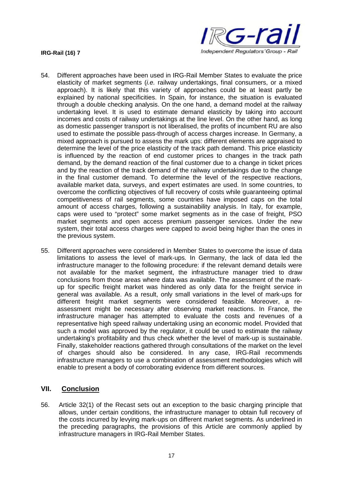



- 54. Different approaches have been used in IRG-Rail Member States to evaluate the price elasticity of market segments (*i.e.* railway undertakings, final consumers, or a mixed approach). It is likely that this variety of approaches could be at least partly be explained by national specificities. In Spain, for instance, the situation is evaluated through a double checking analysis. On the one hand, a demand model at the railway undertaking level. It is used to estimate demand elasticity by taking into account incomes and costs of railway undertakings at the line level. On the other hand, as long as domestic passenger transport is not liberalised, the profits of incumbent RU are also used to estimate the possible pass-through of access charges increase. In Germany, a mixed approach is pursued to assess the mark ups: different elements are appraised to determine the level of the price elasticity of the track path demand. This price elasticity is influenced by the reaction of end customer prices to changes in the track path demand, by the demand reaction of the final customer due to a change in ticket prices and by the reaction of the track demand of the railway undertakings due to the change in the final customer demand. To determine the level of the respective reactions, available market data, surveys, and expert estimates are used. In some countries, to overcome the conflicting objectives of full recovery of costs while guaranteeing optimal competitiveness of rail segments, some countries have imposed caps on the total amount of access charges, following a sustainability analysis. In Italy, for example, caps were used to "protect" some market segments as in the case of freight, PSO market segments and open access premium passenger services. Under the new system, their total access charges were capped to avoid being higher than the ones in the previous system.
- 55. Different approaches were considered in Member States to overcome the issue of data limitations to assess the level of mark-ups. In Germany, the lack of data led the infrastructure manager to the following procedure: if the relevant demand details were not available for the market segment, the infrastructure manager tried to draw conclusions from those areas where data was available. The assessment of the markup for specific freight market was hindered as only data for the freight service in general was available. As a result, only small variations in the level of mark-ups for different freight market segments were considered feasible. Moreover, a reassessment might be necessary after observing market reactions. In France, the infrastructure manager has attempted to evaluate the costs and revenues of a representative high speed railway undertaking using an economic model. Provided that such a model was approved by the regulator, it could be used to estimate the railway undertaking's profitability and thus check whether the level of mark-up is sustainable. Finally, stakeholder reactions gathered through consultations of the market on the level of charges should also be considered. In any case, IRG-Rail recommends infrastructure managers to use a combination of assessment methodologies which will enable to present a body of corroborating evidence from different sources.

# **VII. Conclusion**

56. Article 32(1) of the Recast sets out an exception to the basic charging principle that allows, under certain conditions, the infrastructure manager to obtain full recovery of the costs incurred by levying mark-ups on different market segments. As underlined in the preceding paragraphs, the provisions of this Article are commonly applied by infrastructure managers in IRG-Rail Member States.